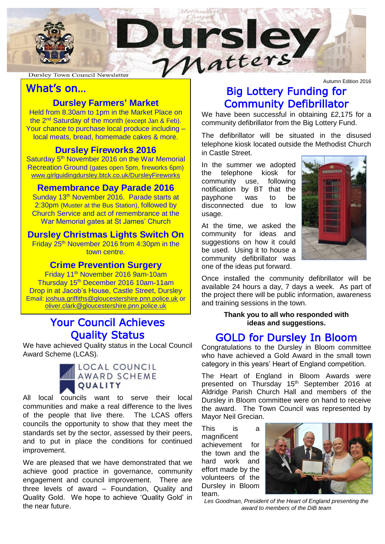

Ĩ

### What's on…

### **Dursley Farmers' Market**

the 2<sup>nd</sup> Saturday of the month (except Jan & Feb). our chance to purchase local produce including<br>local meats, bread, homemade cakes & more. Held from 8.30am to 1pm in the Market Place on Your chance to purchase local produce including –

## **Dursley Fireworks 2016**

Saturday 5<sup>th</sup> November 2016 on the War Memorial Recreation Ground (gates open 5pm, fireworks 6pm) [www.girlguidingdursley.btck.co.uk/DursleyFireworks](http://www.girlguidingdursley.btck.co.uk/DursleyFireworks)

#### **Remembrance Day Parade 2016**

Sunday 13<sup>th</sup> November 2016. Parade starts at 2:30pm (Muster at the Bus Station), followed by Church Service and act of remembrance at the War Memorial gates at St James' Church

### **Dursley Christmas Lights Switch On**

Friday 25th November 2016 from 4:30pm in the town centre.

#### **Crime Prevention Surgery**

Friday 11<sup>th</sup> November 2016 9am-10am Drop in at Jacob's House, Castle Street, Dursley Email: [joshua.griffiths@gloucestershire.pnn.police.uk](mailto:joshua.griffiths@gloucestershire.pnn.police.uk) or oliver.clark@gloucestershire.pnn.police.uk Thursday 15th December 2016 10am-11am

### Your Council Achieves Quality Status

We have achieved Quality status in the Local Council Award Scheme (LCAS).



All local councils want to serve their local communities and make a real difference to the lives of the people that live there. The LCAS offers councils the opportunity to show that they meet the standards set by the sector, assessed by their peers, and to put in place the conditions for continued improvement.

We are pleased that we have demonstrated that we achieve good practice in governance, community engagement and council improvement. There are three levels of award – Foundation, Quality and Quality Gold. We hope to achieve 'Quality Gold' in the near future.

Autumn Edition 2016 Big Lottery Funding for Community Defibrillator

We have been successful in obtaining £2,175 for a community defibrillator from the Big Lottery Fund.

The defibrillator will be situated in the disused telephone kiosk located outside the Methodist Church in Castle Street.

In the summer we adopted the telephone kiosk for community use, following notification by BT that the payphone was to be disconnected due to low usage.

At the time, we asked the community for ideas and suggestions on how it could be used. Using it to house a community defibrillator was one of the ideas put forward.



Once installed the community defibrillator will be available 24 hours a day, 7 days a week. As part of the project there will be public information, awareness and training sessions in the town.

> **Thank you to all who responded with ideas and suggestions.**

### GOLD for Dursley In Bloom

Congratulations to the Dursley in Bloom committee who have achieved a Gold Award in the small town category in this years' Heart of England competition.

The Heart of England in Bloom Awards were presented on Thursday 15<sup>th</sup> September 2016 at Aldridge Parish Church Hall and members of the Dursley in Bloom committee were on hand to receive the award. The Town Council was represented by Mayor Neil Grecian.

This is a magnificent achievement for the town and the hard work and effort made by the volunteers of the Dursley in Bloom team.



*Les Goodman, President of the Heart of England presenting the award to members of the DiB team*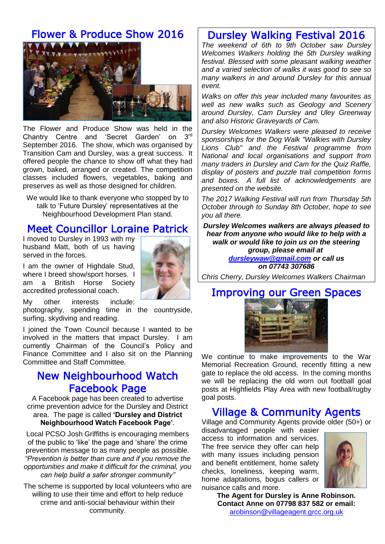## Flower & Produce Show 2016



The Flower and Produce Show was held in the Chantry Centre and 'Secret Garden' on 3rd September 2016. The show, which was organised by Transition Cam and Dursley, was a great success. It offered people the chance to show off what they had grown, baked, arranged or created. The competition classes included flowers, vegetables, baking and preserves as well as those designed for children.

We would like to thank everyone who stopped by to talk to 'Future Dursley' representatives at the Neighbourhood Development Plan stand.

### Meet Councillor Loraine Patrick

I moved to Dursley in 1993 with my husband Matt, both of us having served in the forces.

I am the owner of Highdale Stud, where I breed show/sport horses. I am a British Horse Society accredited professional coach.



My other interests include:

photography, spending time in the countryside, surfing, skydiving and reading.

I joined the Town Council because I wanted to be involved in the matters that impact Dursley. I am currently Chairman of the Council's Policy and Finance Committee and I also sit on the Planning Committee and Staff Committee.

### New Neighbourhood Watch Facebook Page

A Facebook page has been created to advertise crime prevention advice for the Dursley and District area. The page is called **'Dursley and District Neighbourhood Watch Facebook Page'**.

Local PCSO Josh Griffiths is encouraging members of the public to 'like' the page and 'share' the crime prevention message to as many people as possible. *"Prevention is better than cure and if you remove the opportunities and make it difficult for the criminal, you can help build a safer stronger community"*

The scheme is supported by local volunteers who are willing to use their time and effort to help reduce crime and anti-social behaviour within their community.

## Dursley Walking Festival 2016

*The weekend of 6th to 9th October saw Dursley Welcomes Walkers holding the 5th Dursley walking festival. Blessed with some pleasant walking weather and a varied selection of walks it was good to see so many walkers in and around Dursley for this annual event.*

*Walks on offer this year included many favourites as well as new walks such as Geology and Scenery around Dursley, Cam Dursley and Uley Greenway and also Historic Graveyards of Cam.*

*Dursley Welcomes Walkers were pleased to receive sponsorships for the Dog Walk "Walkies with Dursley Lions Club" and the Festival programme from National and local organisations and support from many traders in Dursley and Cam for the Quiz Raffle, display of posters and puzzle trail competition forms and boxes. A full list of acknowledgements are presented on the website.*

*The 2017 Walking Festival will run from Thursday 5th October through to Sunday 8th October, hope to see you all there.*

*Dursley Welcomes walkers are always pleased to hear from anyone who would like to help with a walk or would like to join us on the steering group, please email at [dursleywaw@gmail.com](mailto:dursleywaw@gmail.com) or call us on 07743 307686*

*Chris Cherry, Dursley Welcomes Walkers Chairman*

## Improving our Green Spaces



We continue to make improvements to the War Memorial Recreation Ground, recently fitting a new gate to replace the old access. In the coming months we will be replacing the old worn out football goal posts at Highfields Play Area with new football/rugby goal posts.

### Village & Community Agents

Village and Community Agents provide older (50+) or

disadvantaged people with easier access to information and services. The free service they offer can help with many issues including pension and benefit entitlement, home safety checks, loneliness, keeping warm, home adaptations, bogus callers or nuisance calls and more.



**The Agent for Dursley is Anne Robinson. Contact Anne on 07798 837 582 or email:**  [arobinson@villageagent.grcc.org.uk](mailto:arobinson@villageagent.grcc.org.uk)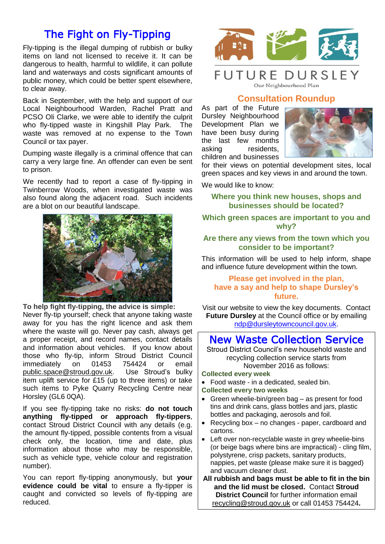## The Fight on Fly-Tipping

Fly-tipping is the illegal dumping of rubbish or bulky items on land not licensed to receive it. It can be dangerous to health, harmful to wildlife, it can pollute land and waterways and costs significant amounts of public money, which could be better spent elsewhere, to clear away.

Back in September, with the help and support of our Local Neighbourhood Warden, Rachel Pratt and PCSO Oli Clarke, we were able to identify the culprit who fly-tipped waste in Kingshill Play Park. The waste was removed at no expense to the Town Council or tax payer.

Dumping waste illegally is a criminal offence that can carry a very large fine. An offender can even be sent to prison.

We recently had to report a case of fly-tipping in Twinberrow Woods, when investigated waste was also found along the adjacent road. Such incidents are a blot on our beautiful landscape.



**To help fight fly-tipping, the advice is simple:**  Never fly-tip yourself; check that anyone taking waste away for you has the right licence and ask them where the waste will go. Never pay cash, always get a proper receipt, and record names, contact details and information about vehicles. If you know about those who fly-tip, inform Stroud District Council<br>immediately on 01453 754424 or email immediately on 01453 754424 or email [public.space@stroud.gov.uk.](mailto:public.space@stroud.gov.uk) Use Stroud's bulky item uplift service for £15 (up to three items) or take such items to Pyke Quarry Recycling Centre near Horsley (GL6 0QA).

If you see fly-tipping take no risks: **do not touch anything fly-tipped or approach fly-tippers**, contact [Stroud](http://www.somersetwaste.gov.uk/contact/) District Council with any details (e.g. the amount fly-tipped, possible contents from a visual check only, the location, time and date, plus information about those who may be responsible, such as vehicle type, vehicle colour and registration number).

You can report fly-tipping anonymously, but **your evidence could be vital** to ensure a fly-tipper is caught and convicted so levels of fly-tipping are reduced.



## **FUTURE DURSLEY**

Our Neighbourhood Plan

### **Consultation Roundup**

As part of the Future Dursley Neighbourhood Development Plan we have been busy during the last few months asking residents, children and businesses



for their views on potential development sites, local green spaces and key views in and around the town.

We would like to know:

**Where you think new houses, shops and businesses should be located?**

#### **Which green spaces are important to you and why?**

#### **Are there any views from the town which you consider to be important?**

This information will be used to help inform, shape and influence future development within the town.

#### **Please get involved in the plan, have a say and help to shape Dursley's future.**

Visit our website to view the key documents. Contact **Future Dursley** at the Council office or by emailing [ndp@dursleytowncouncil.gov.uk.](mailto:ndp@dursleytowncouncil.gov.uk)

### New Waste Collection Service

Stroud District Council's new household waste and recycling collection service starts from November 2016 as follows:

#### **Collected every week**

Food waste - in a dedicated, sealed bin.

#### **Collected every two weeks**

- Green wheelie-bin/green bag as present for food tins and drink cans, glass bottles and jars, plastic bottles and packaging, aerosols and foil.
- Recycling box no changes paper, cardboard and cartons.
- Left over non-recyclable waste in grey wheelie-bins (or beige bags where bins are impractical) - cling film, polystyrene, crisp packets, sanitary products, nappies, pet waste (please make sure it is bagged) and vacuum cleaner dust.

**All rubbish and bags must be able to fit in the bin and the lid must be closed.** Contact **Stroud District Council** for further information email [recycling@stroud.gov.uk](mailto:recycling@stroud.gov.uk) or call 01453 754424**.**